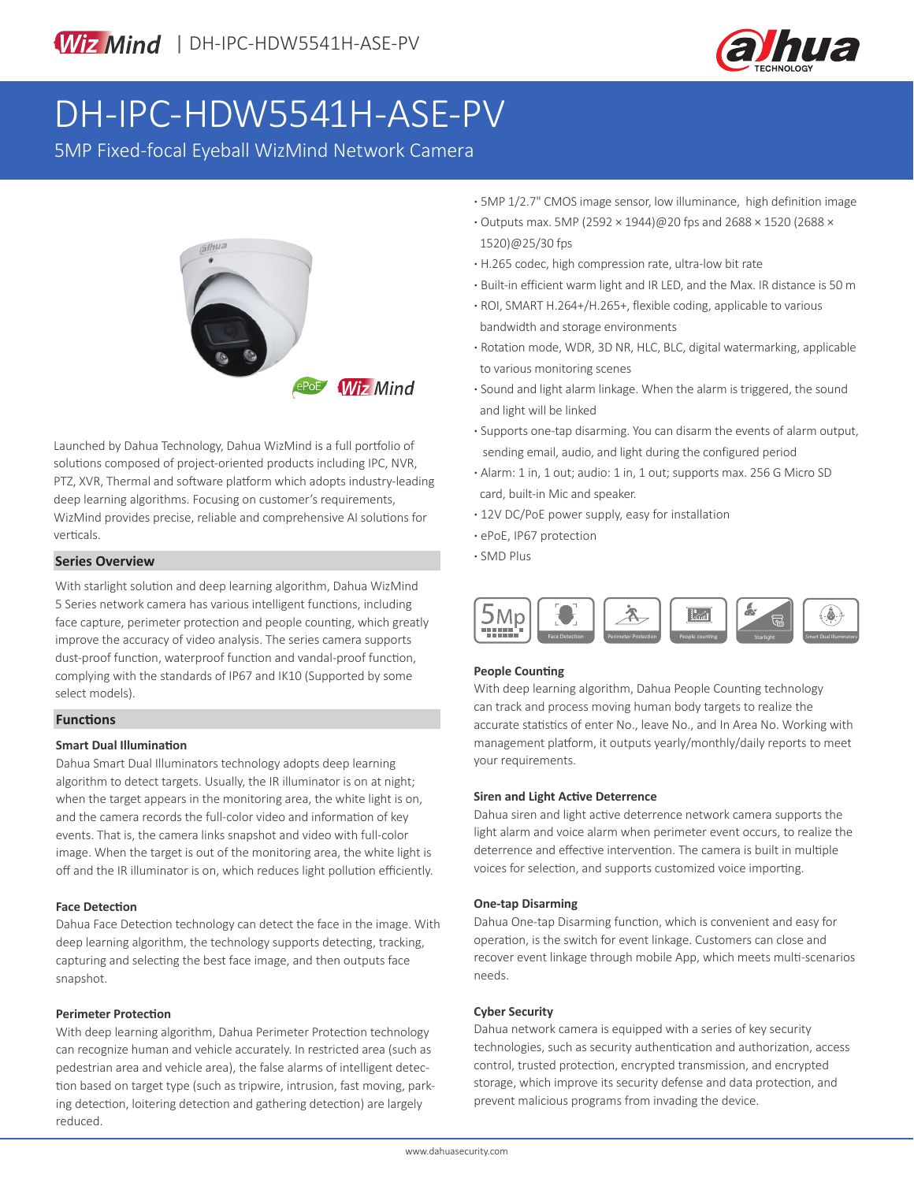

# DH-IPC-HDW5541H-ASE-PV

5MP Fixed-focal Eyeball WizMind Network Camera



Launched by Dahua Technology, Dahua WizMind is a full portfolio of solutions composed of project-oriented products including IPC, NVR, PTZ, XVR, Thermal and software platform which adopts industry-leading deep learning algorithms. Focusing on customer's requirements, WizMind provides precise, reliable and comprehensive AI solutions for verticals.

### **Series Overview COVER SERIES COVERENT COVERENT CONTROL**

With starlight solution and deep learning algorithm, Dahua WizMind 5 Series network camera has various intelligent functions, including face capture, perimeter protection and people counting, which greatly improve the accuracy of video analysis. The series camera supports dust-proof function, waterproof function and vandal-proof function, complying with the standards of IP67 and IK10 (Supported by some select models).

#### **Functions**

#### **Smart Dual Illumination**

Dahua Smart Dual Illuminators technology adopts deep learning algorithm to detect targets. Usually, the IR illuminator is on at night; when the target appears in the monitoring area, the white light is on, and the camera records the full-color video and information of key events. That is, the camera links snapshot and video with full-color image. When the target is out of the monitoring area, the white light is off and the IR illuminator is on, which reduces light pollution efficiently.

#### **Face Detection**

Dahua Face Detection technology can detect the face in the image. With deep learning algorithm, the technology supports detecting, tracking, capturing and selecting the best face image, and then outputs face snapshot.

#### **Perimeter Protection**

With deep learning algorithm, Dahua Perimeter Protection technology can recognize human and vehicle accurately. In restricted area (such as pedestrian area and vehicle area), the false alarms of intelligent detection based on target type (such as tripwire, intrusion, fast moving, parking detection, loitering detection and gathering detection) are largely reduced.

- **·** 5MP 1/2.7" CMOS image sensor, low illuminance, high definition image
- **·** Outputs max. 5MP (2592 × 1944)@20 fps and 2688 × 1520 (2688 × 1520)@25/30 fps
- **·** H.265 codec, high compression rate, ultra-low bit rate
- **·** Built-in efficient warm light and IR LED, and the Max. IR distance is 50 m
- **·** ROI, SMART H.264+/H.265+, flexible coding, applicable to various bandwidth and storage environments
- **·** Rotation mode, WDR, 3D NR, HLC, BLC, digital watermarking, applicable to various monitoring scenes
- **·** Sound and light alarm linkage. When the alarm is triggered, the sound and light will be linked
- **·** Supports one-tap disarming. You can disarm the events of alarm output, sending email, audio, and light during the configured period
- **·** Alarm: 1 in, 1 out; audio: 1 in, 1 out; supports max. 256 G Micro SD card, built-in Mic and speaker.
- **·** 12V DC/PoE power supply, easy for installation
- **·** ePoE, IP67 protection
- 



#### **People Counting**

With deep learning algorithm, Dahua People Counting technology can track and process moving human body targets to realize the accurate statistics of enter No., leave No., and In Area No. Working with management platform, it outputs yearly/monthly/daily reports to meet your requirements.

#### **Siren and Light Active Deterrence**

Dahua siren and light active deterrence network camera supports the light alarm and voice alarm when perimeter event occurs, to realize the deterrence and effective intervention. The camera is built in multiple voices for selection, and supports customized voice importing.

#### **One-tap Disarming**

Dahua One-tap Disarming function, which is convenient and easy for operation, is the switch for event linkage. Customers can close and recover event linkage through mobile App, which meets multi-scenarios needs.

#### **Cyber Security**

Dahua network camera is equipped with a series of key security technologies, such as security authentication and authorization, access control, trusted protection, encrypted transmission, and encrypted storage, which improve its security defense and data protection, and prevent malicious programs from invading the device.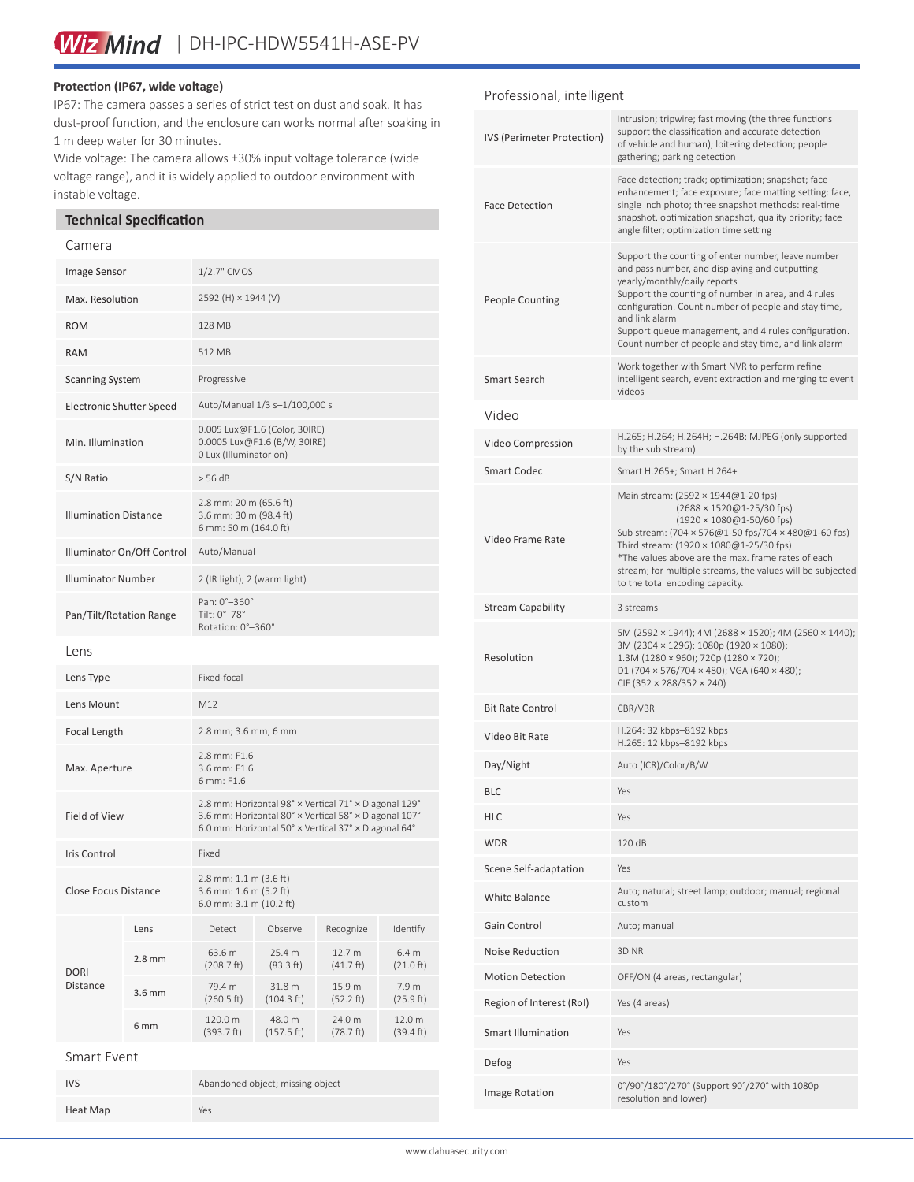#### **Protection (IP67, wide voltage)**

IP67: The camera passes a series of strict test on dust and soak. It has dust-proof function, and the enclosure can works normal after soaking in 1 m deep water for 30 minutes.

Wide voltage: The camera allows ±30% input voltage tolerance (wide voltage range), and it is widely applied to outdoor environment with instable voltage.

#### **Technical Specification**

Heat Map Yes

#### Camera

| Image Sensor                 |                  | 1/2.7" CMOS                                                                                                                                                            |                      |                               |                               |
|------------------------------|------------------|------------------------------------------------------------------------------------------------------------------------------------------------------------------------|----------------------|-------------------------------|-------------------------------|
| Max. Resolution              |                  | 2592 (H) × 1944 (V)                                                                                                                                                    |                      |                               |                               |
| <b>ROM</b>                   |                  | 128 MB                                                                                                                                                                 |                      |                               |                               |
| <b>RAM</b>                   |                  | 512 MB                                                                                                                                                                 |                      |                               |                               |
| <b>Scanning System</b>       |                  | Progressive                                                                                                                                                            |                      |                               |                               |
| Electronic Shutter Speed     |                  | Auto/Manual 1/3 s-1/100,000 s                                                                                                                                          |                      |                               |                               |
| Min. Illumination            |                  | 0.005 Lux@F1.6 (Color, 30IRE)<br>0.0005 Lux@F1.6 (B/W, 30IRE)<br>0 Lux (Illuminator on)                                                                                |                      |                               |                               |
| S/N Ratio                    |                  | > 56 dB                                                                                                                                                                |                      |                               |                               |
| <b>Illumination Distance</b> |                  | 2.8 mm: 20 m (65.6 ft)<br>3.6 mm: 30 m (98.4 ft)<br>6 mm: 50 m (164.0 ft)                                                                                              |                      |                               |                               |
| Illuminator On/Off Control   |                  | Auto/Manual                                                                                                                                                            |                      |                               |                               |
| <b>Illuminator Number</b>    |                  | 2 (IR light); 2 (warm light)                                                                                                                                           |                      |                               |                               |
| Pan/Tilt/Rotation Range      |                  | Pan: 0°-360°<br>Tilt: 0°-78°<br>Rotation: 0°-360°                                                                                                                      |                      |                               |                               |
| Lens                         |                  |                                                                                                                                                                        |                      |                               |                               |
| Lens Type                    |                  | Fixed-focal                                                                                                                                                            |                      |                               |                               |
| Lens Mount                   |                  | M12                                                                                                                                                                    |                      |                               |                               |
| <b>Focal Length</b>          |                  | 2.8 mm; 3.6 mm; 6 mm                                                                                                                                                   |                      |                               |                               |
| Max. Aperture                |                  | 2.8 mm: F1.6<br>3.6 mm: F1.6<br>6 mm: F1.6                                                                                                                             |                      |                               |                               |
| Field of View                |                  | 2.8 mm: Horizontal 98° × Vertical 71° × Diagonal 129°<br>3.6 mm: Horizontal 80° x Vertical 58° x Diagonal 107°<br>6.0 mm: Horizontal 50° x Vertical 37° x Diagonal 64° |                      |                               |                               |
| Iris Control                 |                  | Fixed                                                                                                                                                                  |                      |                               |                               |
| Close Focus Distance         |                  | $2.8$ mm: $1.1$ m ( $3.6$ ft)<br>3.6 mm: 1.6 m (5.2 ft)<br>6.0 mm: $3.1$ m ( $10.2$ ft)                                                                                |                      |                               |                               |
| DORI<br>Distance             | Lens             | Detect                                                                                                                                                                 | Observe              | Recognize                     | Identify                      |
|                              | $2.8 \text{ mm}$ | 63.6 m<br>(208.7 ft)                                                                                                                                                   | 25.4 m<br>(83.3 ft)  | 12.7 m<br>$(41.7 \text{ ft})$ | 6.4 <sub>m</sub><br>(21.0 ft) |
|                              | 3.6 mm           | 79.4 m<br>(260.5 ft)                                                                                                                                                   | 31.8 m<br>(104.3 ft) | 15.9 m<br>(52.2 ft)           | 7.9 m<br>(25.9 ft)            |
|                              | 6 mm             | 120.0 m<br>(393.7 ft)                                                                                                                                                  | 48.0 m<br>(157.5 ft) | 24.0 m<br>(78.7 ft)           | 12.0 m<br>(39.4 ft)           |
| Smart Event                  |                  |                                                                                                                                                                        |                      |                               |                               |
| <b>IVS</b>                   |                  | Abandoned object; missing object                                                                                                                                       |                      |                               |                               |

Professional, intelligent

| IVS (Perimeter Protection) | Intrusion; tripwire; fast moving (the three functions<br>support the classification and accurate detection<br>of vehicle and human); loitering detection; people<br>gathering; parking detection                                                                                                                                                                                      |  |  |
|----------------------------|---------------------------------------------------------------------------------------------------------------------------------------------------------------------------------------------------------------------------------------------------------------------------------------------------------------------------------------------------------------------------------------|--|--|
| <b>Face Detection</b>      | Face detection; track; optimization; snapshot; face<br>enhancement; face exposure; face matting setting: face,<br>single inch photo; three snapshot methods: real-time<br>snapshot, optimization snapshot, quality priority; face<br>angle filter; optimization time setting                                                                                                          |  |  |
| <b>People Counting</b>     | Support the counting of enter number, leave number<br>and pass number, and displaying and outputting<br>yearly/monthly/daily reports<br>Support the counting of number in area, and 4 rules<br>configuration. Count number of people and stay time,<br>and link alarm<br>Support queue management, and 4 rules configuration.<br>Count number of people and stay time, and link alarm |  |  |
| Smart Search               | Work together with Smart NVR to perform refine<br>intelligent search, event extraction and merging to event<br>videos                                                                                                                                                                                                                                                                 |  |  |
| Video                      |                                                                                                                                                                                                                                                                                                                                                                                       |  |  |
| Video Compression          | H.265; H.264; H.264H; H.264B; MJPEG (only supported<br>by the sub stream)                                                                                                                                                                                                                                                                                                             |  |  |
| <b>Smart Codec</b>         | Smart H.265+; Smart H.264+                                                                                                                                                                                                                                                                                                                                                            |  |  |
| Video Frame Rate           | Main stream: (2592 × 1944@1-20 fps)<br>(2688 × 1520@1-25/30 fps)<br>$(1920 \times 1080@1 - 50/60$ fps)<br>Sub stream: (704 × 576@1-50 fps/704 × 480@1-60 fps)<br>Third stream: (1920 × 1080@1-25/30 fps)<br>*The values above are the max. frame rates of each<br>stream; for multiple streams, the values will be subjected<br>to the total encoding capacity.                       |  |  |
| <b>Stream Capability</b>   | 3 streams                                                                                                                                                                                                                                                                                                                                                                             |  |  |
| Resolution                 | 5M (2592 × 1944); 4M (2688 × 1520); 4M (2560 × 1440);<br>3M (2304 × 1296); 1080p (1920 × 1080);<br>$1.3M(1280 \times 960)$ ; 720p (1280 × 720);<br>D1 (704 $\times$ 576/704 $\times$ 480); VGA (640 $\times$ 480);<br>CIF (352 × 288/352 × 240)                                                                                                                                       |  |  |
| <b>Bit Rate Control</b>    | CBR/VBR                                                                                                                                                                                                                                                                                                                                                                               |  |  |
| Video Bit Rate             | H.264: 32 kbps-8192 kbps<br>H.265: 12 kbps-8192 kbps                                                                                                                                                                                                                                                                                                                                  |  |  |
| Day/Night                  | Auto (ICR)/Color/B/W                                                                                                                                                                                                                                                                                                                                                                  |  |  |
| BLC                        | Yes                                                                                                                                                                                                                                                                                                                                                                                   |  |  |
| <b>HLC</b>                 | Yes                                                                                                                                                                                                                                                                                                                                                                                   |  |  |
| <b>WDR</b>                 | 120 dB                                                                                                                                                                                                                                                                                                                                                                                |  |  |
| Scene Self-adaptation      | Yes                                                                                                                                                                                                                                                                                                                                                                                   |  |  |
| White Balance              | Auto; natural; street lamp; outdoor; manual; regional<br>custom                                                                                                                                                                                                                                                                                                                       |  |  |
| Gain Control               | Auto; manual                                                                                                                                                                                                                                                                                                                                                                          |  |  |
| Noise Reduction            | 3D NR                                                                                                                                                                                                                                                                                                                                                                                 |  |  |
| <b>Motion Detection</b>    | OFF/ON (4 areas, rectangular)                                                                                                                                                                                                                                                                                                                                                         |  |  |
| Region of Interest (RoI)   | Yes (4 areas)                                                                                                                                                                                                                                                                                                                                                                         |  |  |
| <b>Smart Illumination</b>  | Yes                                                                                                                                                                                                                                                                                                                                                                                   |  |  |
| Defog                      | Yes                                                                                                                                                                                                                                                                                                                                                                                   |  |  |
| Image Rotation             | 0°/90°/180°/270° (Support 90°/270° with 1080p<br>resolution and lower)                                                                                                                                                                                                                                                                                                                |  |  |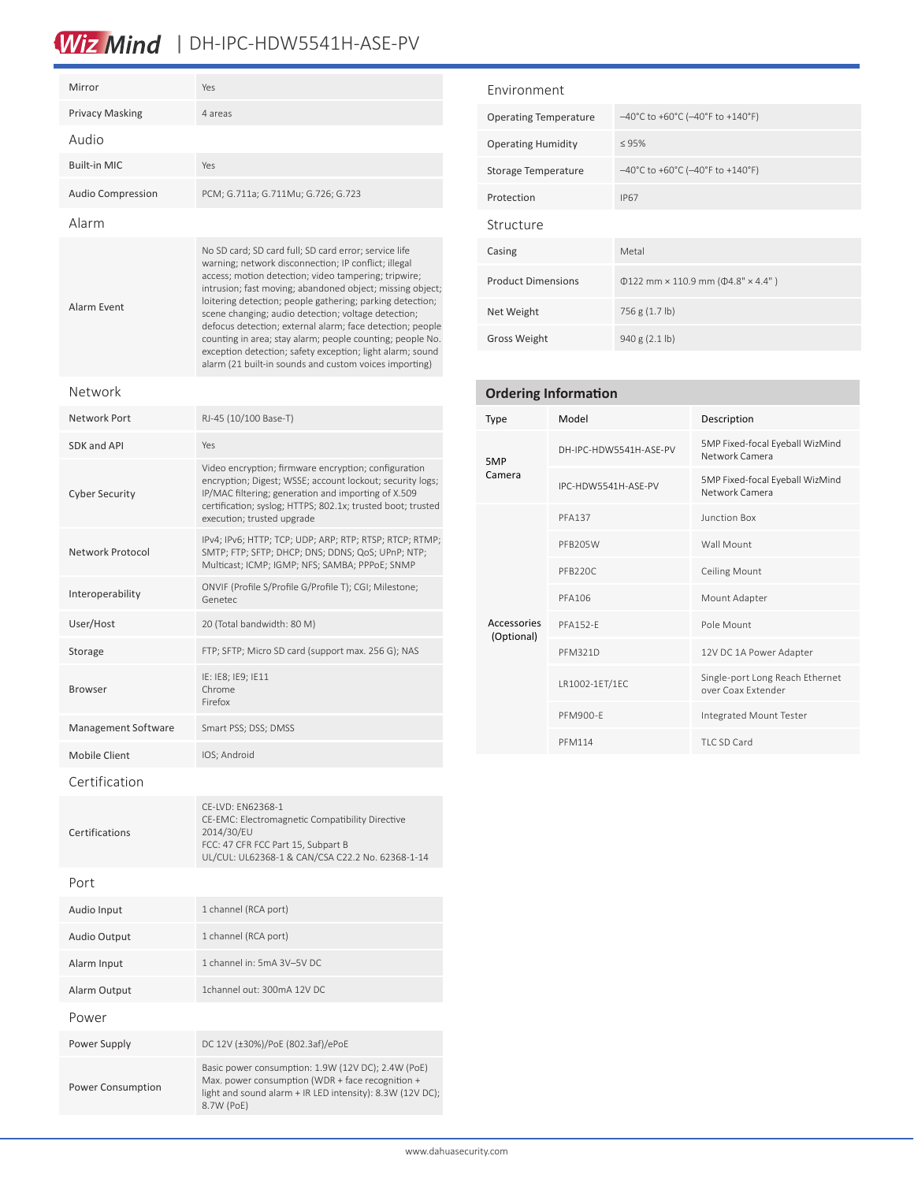## Wiz Mind | DH-IPC-HDW5541H-ASE-PV

| Mirror                   | Yes                                                                                                                                                                                                                                                                                                                                                                                                                                                                                                                                                                                                     |  |  |  |
|--------------------------|---------------------------------------------------------------------------------------------------------------------------------------------------------------------------------------------------------------------------------------------------------------------------------------------------------------------------------------------------------------------------------------------------------------------------------------------------------------------------------------------------------------------------------------------------------------------------------------------------------|--|--|--|
| <b>Privacy Masking</b>   | 4 areas                                                                                                                                                                                                                                                                                                                                                                                                                                                                                                                                                                                                 |  |  |  |
| Audio                    |                                                                                                                                                                                                                                                                                                                                                                                                                                                                                                                                                                                                         |  |  |  |
| <b>Built-in MIC</b>      | Yes                                                                                                                                                                                                                                                                                                                                                                                                                                                                                                                                                                                                     |  |  |  |
| <b>Audio Compression</b> | PCM; G.711a; G.711Mu; G.726; G.723                                                                                                                                                                                                                                                                                                                                                                                                                                                                                                                                                                      |  |  |  |
| Alarm                    |                                                                                                                                                                                                                                                                                                                                                                                                                                                                                                                                                                                                         |  |  |  |
| Alarm Event              | No SD card; SD card full; SD card error; service life<br>warning; network disconnection; IP conflict; illegal<br>access; motion detection; video tampering; tripwire;<br>intrusion; fast moving; abandoned object; missing object;<br>loitering detection; people gathering; parking detection;<br>scene changing; audio detection; voltage detection;<br>defocus detection; external alarm; face detection; people<br>counting in area; stay alarm; people counting; people No.<br>exception detection; safety exception; light alarm; sound<br>alarm (21 built-in sounds and custom voices importing) |  |  |  |
| Network                  |                                                                                                                                                                                                                                                                                                                                                                                                                                                                                                                                                                                                         |  |  |  |
| Network Port             | RJ-45 (10/100 Base-T)                                                                                                                                                                                                                                                                                                                                                                                                                                                                                                                                                                                   |  |  |  |
| SDK and API              | Yes                                                                                                                                                                                                                                                                                                                                                                                                                                                                                                                                                                                                     |  |  |  |
| <b>Cyber Security</b>    | Video encryption; firmware encryption; configuration<br>encryption; Digest; WSSE; account lockout; security logs;<br>IP/MAC filtering; generation and importing of X.509<br>certification; syslog; HTTPS; 802.1x; trusted boot; trusted<br>execution; trusted upgrade                                                                                                                                                                                                                                                                                                                                   |  |  |  |
| Network Protocol         | IPv4; IPv6; HTTP; TCP; UDP; ARP; RTP; RTSP; RTCP; RTMP;<br>SMTP; FTP; SFTP; DHCP; DNS; DDNS; QoS; UPnP; NTP;<br>Multicast; ICMP; IGMP; NFS; SAMBA; PPPoE; SNMP                                                                                                                                                                                                                                                                                                                                                                                                                                          |  |  |  |
| Interoperability         | ONVIF (Profile S/Profile G/Profile T); CGI; Milestone;<br>Genetec                                                                                                                                                                                                                                                                                                                                                                                                                                                                                                                                       |  |  |  |
| User/Host                | 20 (Total bandwidth: 80 M)                                                                                                                                                                                                                                                                                                                                                                                                                                                                                                                                                                              |  |  |  |
| Storage                  | FTP; SFTP; Micro SD card (support max. 256 G); NAS                                                                                                                                                                                                                                                                                                                                                                                                                                                                                                                                                      |  |  |  |
| <b>Browser</b>           | IE: IE8; IE9; IE11<br>Chrome<br>Firefox                                                                                                                                                                                                                                                                                                                                                                                                                                                                                                                                                                 |  |  |  |
| Management Software      | Smart PSS; DSS; DMSS                                                                                                                                                                                                                                                                                                                                                                                                                                                                                                                                                                                    |  |  |  |
| <b>Mobile Client</b>     | IOS; Android                                                                                                                                                                                                                                                                                                                                                                                                                                                                                                                                                                                            |  |  |  |
| Certification            |                                                                                                                                                                                                                                                                                                                                                                                                                                                                                                                                                                                                         |  |  |  |
| Certifications           | CE-LVD: EN62368-1<br>CE-EMC: Electromagnetic Compatibility Directive<br>2014/30/EU<br>FCC: 47 CFR FCC Part 15, Subpart B<br>UL/CUL: UL62368-1 & CAN/CSA C22.2 No. 62368-1-14                                                                                                                                                                                                                                                                                                                                                                                                                            |  |  |  |
| Port                     |                                                                                                                                                                                                                                                                                                                                                                                                                                                                                                                                                                                                         |  |  |  |
| Audio Input              | 1 channel (RCA port)                                                                                                                                                                                                                                                                                                                                                                                                                                                                                                                                                                                    |  |  |  |
| Audio Output             | 1 channel (RCA port)                                                                                                                                                                                                                                                                                                                                                                                                                                                                                                                                                                                    |  |  |  |
| Alarm Input              | 1 channel in: 5mA 3V-5V DC                                                                                                                                                                                                                                                                                                                                                                                                                                                                                                                                                                              |  |  |  |
| Alarm Output             | 1channel out: 300mA 12V DC                                                                                                                                                                                                                                                                                                                                                                                                                                                                                                                                                                              |  |  |  |
| Power                    |                                                                                                                                                                                                                                                                                                                                                                                                                                                                                                                                                                                                         |  |  |  |
| Power Supply             | DC 12V (±30%)/PoE (802.3af)/ePoE                                                                                                                                                                                                                                                                                                                                                                                                                                                                                                                                                                        |  |  |  |
| Power Consumption        | Basic power consumption: 1.9W (12V DC); 2.4W (PoE)<br>Max. power consumption (WDR + face recognition +<br>light and sound alarm + IR LED intensity): 8.3W (12V DC);<br>8.7W (PoE)                                                                                                                                                                                                                                                                                                                                                                                                                       |  |  |  |

#### Environment

| <b>Operating Temperature</b> | $-40^{\circ}$ C to +60°C (-40°F to +140°F)                                  |  |  |
|------------------------------|-----------------------------------------------------------------------------|--|--|
| <b>Operating Humidity</b>    | $\leq 95\%$                                                                 |  |  |
| Storage Temperature          | $-40^{\circ}$ C to +60 $^{\circ}$ C (-40 $^{\circ}$ F to +140 $^{\circ}$ F) |  |  |
| Protection                   | <b>IP67</b>                                                                 |  |  |
| Structure                    |                                                                             |  |  |
| Casing                       | Metal                                                                       |  |  |
| <b>Product Dimensions</b>    | $\Phi$ 122 mm × 110.9 mm ( $\Phi$ 4.8" × 4.4")                              |  |  |
| Net Weight                   | 756 g (1.7 lb)                                                              |  |  |
| <b>Gross Weight</b>          | 940 g (2.1 lb)                                                              |  |  |

| <b>Ordering Information</b> |                        |                                                       |  |  |  |
|-----------------------------|------------------------|-------------------------------------------------------|--|--|--|
| <b>Type</b>                 | Model                  | Description                                           |  |  |  |
| 5MP<br>Camera               | DH-IPC-HDW5541H-ASF-PV | 5MP Fixed-focal Eyeball WizMind<br>Network Camera     |  |  |  |
|                             | IPC-HDW5541H-ASF-PV    | 5MP Fixed-focal Eyeball WizMind<br>Network Camera     |  |  |  |
|                             | <b>PFA137</b>          | <b>Junction Box</b>                                   |  |  |  |
|                             | PFB205W                | Wall Mount                                            |  |  |  |
|                             | <b>PFB220C</b>         | <b>Ceiling Mount</b>                                  |  |  |  |
|                             | PFA106                 | Mount Adapter                                         |  |  |  |
| Accessories<br>(Optional)   | <b>PFA152-F</b>        | Pole Mount                                            |  |  |  |
|                             | <b>PFM321D</b>         | 12V DC 1A Power Adapter                               |  |  |  |
|                             | LR1002-1ET/1EC         | Single-port Long Reach Ethernet<br>over Coax Extender |  |  |  |
|                             | PFM900-F               | Integrated Mount Tester                               |  |  |  |
|                             | <b>PFM114</b>          | TLC SD Card                                           |  |  |  |